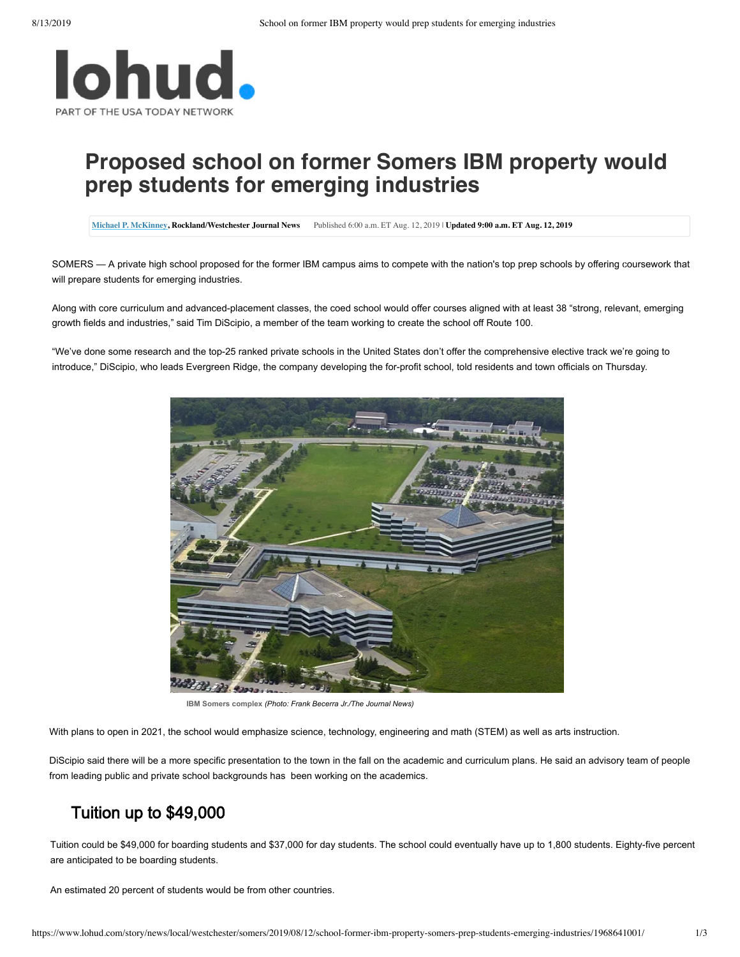

## **Proposed school on former Somers IBM property would prep students for emerging industries**

**[Michael P. McKinney,](http://www.lohud.com/staff/10047656/michael-p-mckinney/) Rockland/Westchester Journal News** Published 6:00 a.m. ET Aug. 12, 2019 | **Updated 9:00 a.m. ET Aug. 12, 2019**

SOMERS — A private high school proposed for the former IBM campus aims to compete with the nation's top prep schools by offering coursework that will prepare students for emerging industries.

Along with core curriculum and advanced-placement classes, the coed school would offer courses aligned with at least 38 "strong, relevant, emerging growth fields and industries," said Tim DiScipio, a member of the team working to create the school off Route 100.

"We've done some research and the top-25 ranked private schools in the United States don't offer the comprehensive elective track we're going to introduce," DiScipio, who leads Evergreen Ridge, the company developing the for-profit school, told residents and town officials on Thursday.



**IBM** Somers complex (Photo: Frank Becerra Jr./The Journal News)

With plans to open in 2021, the school would emphasize science, technology, engineering and math (STEM) as well as arts instruction.

DiScipio said there will be a more specific presentation to the town in the fall on the academic and curriculum plans. He said an advisory team of people from leading public and private school backgrounds has been working on the academics.

## Tuition up to \$49,000

Tuition could be \$49,000 for boarding students and \$37,000 for day students. The school could eventually have up to 1,800 students. Eighty-five percent are anticipated to be boarding students.

An estimated 20 percent of students would be from other countries.